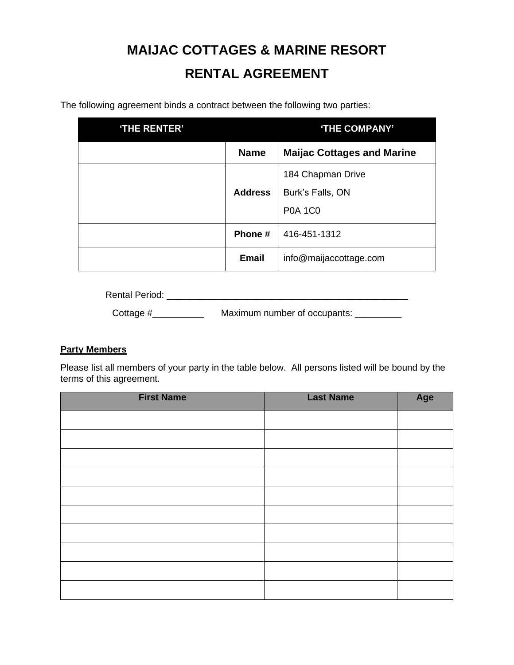# **MAIJAC COTTAGES & MARINE RESORT RENTAL AGREEMENT**

The following agreement binds a contract between the following two parties:

| 'THE RENTER' | 'THE COMPANY'  |                                   |
|--------------|----------------|-----------------------------------|
|              | <b>Name</b>    | <b>Maijac Cottages and Marine</b> |
|              |                | 184 Chapman Drive                 |
|              | <b>Address</b> | Burk's Falls, ON                  |
|              |                | <b>P0A 1C0</b>                    |
|              | Phone #        | 416-451-1312                      |
|              | <b>Email</b>   | info@maijaccottage.com            |

Rental Period: \_\_\_\_\_\_\_\_\_\_\_\_\_\_\_\_\_\_\_\_\_\_\_\_\_\_\_\_\_\_\_\_\_\_\_\_\_\_\_\_\_\_\_\_\_\_\_

Cottage #\_\_\_\_\_\_\_\_\_\_\_\_\_\_\_\_\_ Maximum number of occupants: \_\_\_\_\_\_\_\_\_\_\_

### **Party Members**

Please list all members of your party in the table below. All persons listed will be bound by the terms of this agreement.

| <b>First Name</b> | <b>Last Name</b> | Age |
|-------------------|------------------|-----|
|                   |                  |     |
|                   |                  |     |
|                   |                  |     |
|                   |                  |     |
|                   |                  |     |
|                   |                  |     |
|                   |                  |     |
|                   |                  |     |
|                   |                  |     |
|                   |                  |     |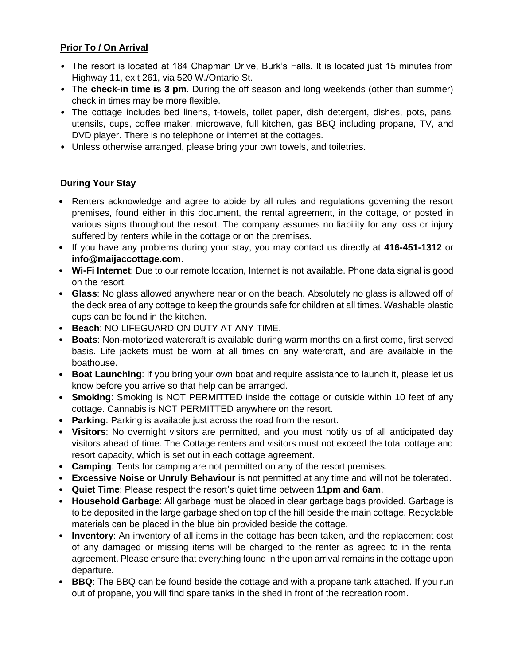# **Prior To / On Arrival**

- The resort is located at 184 Chapman Drive, Burk's Falls. It is located just 15 minutes from Highway 11, exit 261, via 520 W./Ontario St.
- The **check-in time is 3 pm**. During the off season and long weekends (other than summer) check in times may be more flexible.
- The cottage includes bed linens, t-towels, toilet paper, dish detergent, dishes, pots, pans, utensils, cups, coffee maker, microwave, full kitchen, gas BBQ including propane, TV, and DVD player. There is no telephone or internet at the cottages.
- Unless otherwise arranged, please bring your own towels, and toiletries.

# **During Your Stay**

- Renters acknowledge and agree to abide by all rules and regulations governing the resort premises, found either in this document, the rental agreement, in the cottage, or posted in various signs throughout the resort. The company assumes no liability for any loss or injury suffered by renters while in the cottage or on the premises.
- If you have any problems during your stay, you may contact us directly at **416-451-1312** or **info@maijaccottage.com**.
- **Wi-Fi Internet**: Due to our remote location, Internet is not available. Phone data signal is good on the resort.
- **Glass**: No glass allowed anywhere near or on the beach. Absolutely no glass is allowed off of the deck area of any cottage to keep the grounds safe for children at all times. Washable plastic cups can be found in the kitchen.
- **Beach**: NO LIFEGUARD ON DUTY AT ANY TIME.
- **Boats**: Non-motorized watercraft is available during warm months on a first come, first served basis. Life jackets must be worn at all times on any watercraft, and are available in the boathouse.
- **Boat Launching**: If you bring your own boat and require assistance to launch it, please let us know before you arrive so that help can be arranged.
- **Smoking**: Smoking is NOT PERMITTED inside the cottage or outside within 10 feet of any cottage. Cannabis is NOT PERMITTED anywhere on the resort.
- **Parking**: Parking is available just across the road from the resort.
- **Visitors**: No overnight visitors are permitted, and you must notify us of all anticipated day visitors ahead of time. The Cottage renters and visitors must not exceed the total cottage and resort capacity, which is set out in each cottage agreement.
- **Camping**: Tents for camping are not permitted on any of the resort premises.
- **Excessive Noise or Unruly Behaviour** is not permitted at any time and will not be tolerated.
- **Quiet Time**: Please respect the resort's quiet time between **11pm and 6am**.
- **Household Garbage**: All garbage must be placed in clear garbage bags provided. Garbage is to be deposited in the large garbage shed on top of the hill beside the main cottage. Recyclable materials can be placed in the blue bin provided beside the cottage.
- **Inventory**: An inventory of all items in the cottage has been taken, and the replacement cost of any damaged or missing items will be charged to the renter as agreed to in the rental agreement. Please ensure that everything found in the upon arrival remains in the cottage upon departure.
- **BBQ**: The BBQ can be found beside the cottage and with a propane tank attached. If you run out of propane, you will find spare tanks in the shed in front of the recreation room.